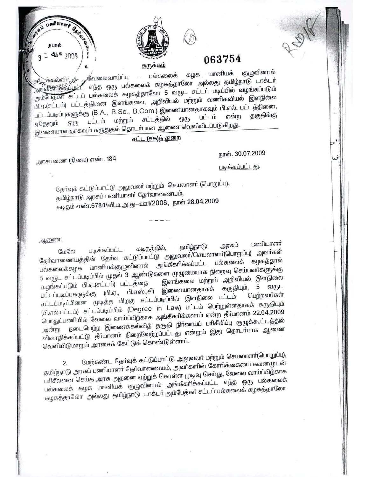

 $11600$ C. E. K.Q. கபால் 25 3009

## 063754

குழுவினால் கழக மானியக் ஒடுக்கல்வி<sub>ட்ல</sub>ட<sub>் க</sub>வேலைவாய்ப்பு பல்கலைக்  $\overline{\phantom{a}}$ அங்கீகாிக்கப்பட்ட எந்த ஒரு பல்கலைக் கழகத்தாலோ அல்லது தமிழ்நாடு டாக்டா் அம்பேத்கா சட்டப் பல்கலைக் கழகத்தாலோ 5 வருட சட்டப் படிப்பில் வழங்கப்படும் பி.ஏ.(சட்டம்) பட்டத்தினை இளங்கலை, அறிவியல் மற்றும் வணிகவியல் இளநிலை பட்டப்படிப்புகளுக்கு (B.A., B.Sc., B.Com.) இணையானதாகவும் பி.எல். பட்டத்தினை, என்ற பட்டம் சட்டத்தில் ஒரு பட்டம் மற்றும் ஒரு ஏதேனும் இணையானதாகவும் கருதுதல் தொடர்பான ஆணை வெளியிடப்படுகிறது.

சட்ட (சக)த் துறை

அரசாணை (நிலை) எண். 184

நாள். 30.07.2009

فسا

<u>படிக்கப்பட்டது.</u>

தேர்வுக் கட்டுப்பாட்டு அலுவலர் மற்றும் செயலாளர் (பொறுப்பு), தமிழ்நாடு அரசுப் பணியாளா் தோவாணையம், கடிதம் எண்.6784/வி.ம.அ.து-ஊ1/2008, நாள் 28.04.2009

ஆணை:

பணியாளர் அரசுப் *சூ*மிழ்நாடு கடிதத்தில், படிக்கப்பட்ட தோவாணையத்தின் தோவு கட்டுப்பாட்டு அலுவலா்/செயலாளா்(பொறுப்பு) அவா்கள் பல்கலைக்கழக மானியக்குழுவினால் அங்கீகாிக்கப்பட்ட பல்கலைக் 5 வருட சட்டப்படிப்பில் முதல் 3 ஆண்டுகளை முழுமையாக நிறைவு செய்பவாகளுக்கு இளங்கலை மற்றும் அறிவியல் இளநிலை வழங்கப்படும் பி.ஏ.(சட்டம்) பட்டத்தை 5 வருட பட்டப்படிப்புகளுக்கு (பி.ஏ., பி.எஸ்.,சி) இணையானதாகக் கருதியும், சட்டப்படிப்பினை முடித்த பிறகு சட்டப்படிப்பில் இளநிலை பட்டம் பெற்றவா்கள் (பி.எல்.பட்டம்) சட்டப்படிப்பில் (Degree in Law) பட்டம் பெற்றுள்ளதாகக் கருதியும் பொதுப்பணியில் வேலை வாய்ப்பிற்காக அங்கீகரிக்கலாம் என்ற தீா்மானம் 22.04.2009 அன்று நடைபெற்ற இணைக்கல்வித் தகுதி நிா்ணயப் பாிசீலிப்பு குழுக்கூட்டத்தில் விவாதிக்கப்பட்டு தீா்மானம் நிறைவேற்றப்பட்டது என்றும் இது தொடா்பாக ஆணை வெளியிடுமாறும் அரசைக் கேட்டுக் கொண்டுள்ளார்.

மேற்கண்ட தேர்வுக் கட்டுப்பாட்டு அலுவலர் மற்றும் செயலாளர்(பொறுப்பு), தமிழ்நாடு அரசுப் பணியாளா தோவாணையம், அவாகளின் கோாிக்கையை கவனமுடன் பாிசீலனை செய்த அரசு அதனை ஏற்றுக் கொள்ள முடிவு செய்து, வேலை வாய்ப்பிற்காக பல்கலைக் கழக மானியக் குழுவினால் அங்கீகாிக்கப்பட்ட எந்த ஒரு பல்கலைக் கழகத்தாலோ அல்லது தமிழ்நாடு டாக்டா அம்பேத்கா் சட்டப் பல்கலைக் கழகத்தாலோ